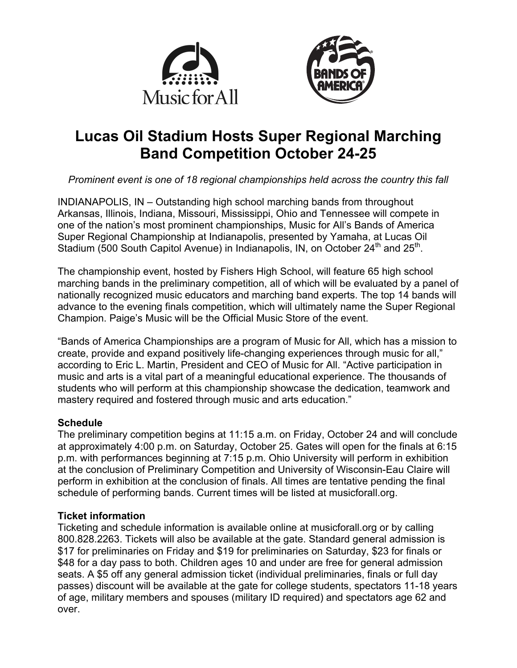



# **Lucas Oil Stadium Hosts Super Regional Marching Band Competition October 24-25**

*Prominent event is one of 18 regional championships held across the country this fall*

INDIANAPOLIS, IN – Outstanding high school marching bands from throughout Arkansas, Illinois, Indiana, Missouri, Mississippi, Ohio and Tennessee will compete in one of the nation's most prominent championships, Music for All's Bands of America Super Regional Championship at Indianapolis, presented by Yamaha, at Lucas Oil Stadium (500 South Capitol Avenue) in Indianapolis, IN, on October  $24<sup>th</sup>$  and  $25<sup>th</sup>$ .

The championship event, hosted by Fishers High School, will feature 65 high school marching bands in the preliminary competition, all of which will be evaluated by a panel of nationally recognized music educators and marching band experts. The top 14 bands will advance to the evening finals competition, which will ultimately name the Super Regional Champion. Paige's Music will be the Official Music Store of the event.

"Bands of America Championships are a program of Music for All, which has a mission to create, provide and expand positively life-changing experiences through music for all," according to Eric L. Martin, President and CEO of Music for All. "Active participation in music and arts is a vital part of a meaningful educational experience. The thousands of students who will perform at this championship showcase the dedication, teamwork and mastery required and fostered through music and arts education."

### **Schedule**

The preliminary competition begins at 11:15 a.m. on Friday, October 24 and will conclude at approximately 4:00 p.m. on Saturday, October 25. Gates will open for the finals at 6:15 p.m. with performances beginning at 7:15 p.m. Ohio University will perform in exhibition at the conclusion of Preliminary Competition and University of Wisconsin-Eau Claire will perform in exhibition at the conclusion of finals. All times are tentative pending the final schedule of performing bands. Current times will be listed at musicforall.org.

## **Ticket information**

Ticketing and schedule information is available online at musicforall.org or by calling 800.828.2263. Tickets will also be available at the gate. Standard general admission is \$17 for preliminaries on Friday and \$19 for preliminaries on Saturday, \$23 for finals or \$48 for a day pass to both. Children ages 10 and under are free for general admission seats. A \$5 off any general admission ticket (individual preliminaries, finals or full day passes) discount will be available at the gate for college students, spectators 11-18 years of age, military members and spouses (military ID required) and spectators age 62 and over.